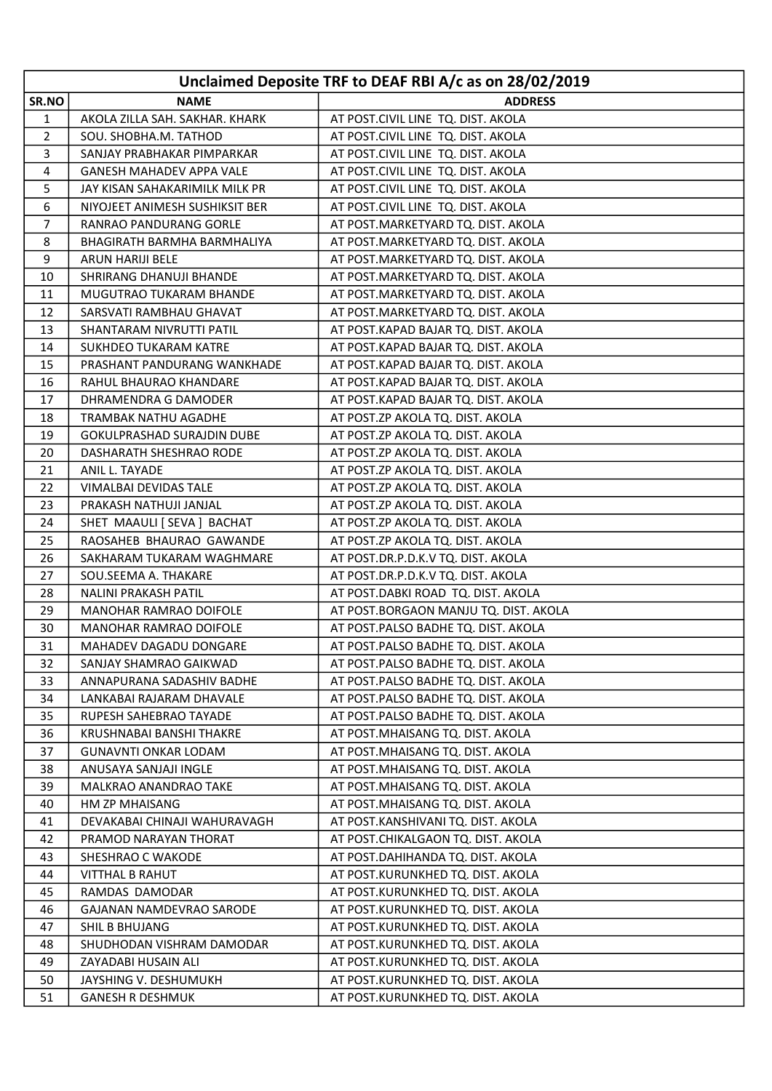| Unclaimed Deposite TRF to DEAF RBI A/c as on 28/02/2019 |                                   |                                       |
|---------------------------------------------------------|-----------------------------------|---------------------------------------|
| SR.NO                                                   | <b>NAME</b>                       | <b>ADDRESS</b>                        |
| 1                                                       | AKOLA ZILLA SAH. SAKHAR. KHARK    | AT POST.CIVIL LINE TQ. DIST. AKOLA    |
| 2                                                       | SOU. SHOBHA.M. TATHOD             | AT POST.CIVIL LINE TQ. DIST. AKOLA    |
| 3                                                       | SANJAY PRABHAKAR PIMPARKAR        | AT POST.CIVIL LINE TQ. DIST. AKOLA    |
| 4                                                       | <b>GANESH MAHADEV APPA VALE</b>   | AT POST.CIVIL LINE TQ. DIST. AKOLA    |
| 5                                                       | JAY KISAN SAHAKARIMILK MILK PR    | AT POST.CIVIL LINE TQ. DIST. AKOLA    |
| 6                                                       | NIYOJEET ANIMESH SUSHIKSIT BER    | AT POST.CIVIL LINE TQ. DIST. AKOLA    |
| $\overline{7}$                                          | RANRAO PANDURANG GORLE            | AT POST.MARKETYARD TQ. DIST. AKOLA    |
| 8                                                       | BHAGIRATH BARMHA BARMHALIYA       | AT POST.MARKETYARD TQ. DIST. AKOLA    |
| 9                                                       | <b>ARUN HARIJI BELE</b>           | AT POST.MARKETYARD TQ. DIST. AKOLA    |
| 10                                                      | SHRIRANG DHANUJI BHANDE           | AT POST.MARKETYARD TQ. DIST. AKOLA    |
| 11                                                      | MUGUTRAO TUKARAM BHANDE           | AT POST.MARKETYARD TQ. DIST. AKOLA    |
| 12                                                      | SARSVATI RAMBHAU GHAVAT           | AT POST.MARKETYARD TQ. DIST. AKOLA    |
| 13                                                      | SHANTARAM NIVRUTTI PATIL          | AT POST.KAPAD BAJAR TO. DIST. AKOLA   |
| 14                                                      | SUKHDEO TUKARAM KATRE             | AT POST.KAPAD BAJAR TQ. DIST. AKOLA   |
| 15                                                      | PRASHANT PANDURANG WANKHADE       | AT POST.KAPAD BAJAR TQ. DIST. AKOLA   |
| 16                                                      | RAHUL BHAURAO KHANDARE            | AT POST.KAPAD BAJAR TQ. DIST. AKOLA   |
| 17                                                      | DHRAMENDRA G DAMODER              | AT POST.KAPAD BAJAR TQ. DIST. AKOLA   |
| 18                                                      | TRAMBAK NATHU AGADHE              | AT POST.ZP AKOLA TQ. DIST. AKOLA      |
| 19                                                      | <b>GOKULPRASHAD SURAJDIN DUBE</b> | AT POST.ZP AKOLA TQ. DIST. AKOLA      |
| 20                                                      | DASHARATH SHESHRAO RODE           | AT POST.ZP AKOLA TQ. DIST. AKOLA      |
| 21                                                      | ANIL L. TAYADE                    | AT POST.ZP AKOLA TQ. DIST. AKOLA      |
| 22                                                      | VIMALBAI DEVIDAS TALE             | AT POST.ZP AKOLA TQ. DIST. AKOLA      |
| 23                                                      | PRAKASH NATHUJI JANJAL            | AT POST.ZP AKOLA TQ. DIST. AKOLA      |
| 24                                                      | SHET MAAULI [ SEVA ] BACHAT       | AT POST.ZP AKOLA TQ. DIST. AKOLA      |
| 25                                                      | RAOSAHEB BHAURAO GAWANDE          | AT POST.ZP AKOLA TQ. DIST. AKOLA      |
| 26                                                      | SAKHARAM TUKARAM WAGHMARE         | AT POST.DR.P.D.K.V TQ. DIST. AKOLA    |
| 27                                                      | SOU.SEEMA A. THAKARE              | AT POST.DR.P.D.K.V TQ. DIST. AKOLA    |
| 28                                                      | NALINI PRAKASH PATIL              | AT POST.DABKI ROAD TQ. DIST. AKOLA    |
| 29                                                      | MANOHAR RAMRAO DOIFOLE            | AT POST.BORGAON MANJU TQ. DIST. AKOLA |
| 30                                                      | MANOHAR RAMRAO DOIFOLE            | AT POST.PALSO BADHE TQ. DIST. AKOLA   |
| 31                                                      | MAHADEV DAGADU DONGARE            | AT POST.PALSO BADHE TQ. DIST. AKOLA   |
| 32                                                      | SANJAY SHAMRAO GAIKWAD            | AT POST.PALSO BADHE TQ. DIST. AKOLA   |
| 33                                                      | ANNAPURANA SADASHIV BADHE         | AT POST.PALSO BADHE TQ. DIST. AKOLA   |
| 34                                                      | LANKABAI RAJARAM DHAVALE          | AT POST.PALSO BADHE TQ. DIST. AKOLA   |
| 35                                                      | RUPESH SAHEBRAO TAYADE            | AT POST.PALSO BADHE TQ. DIST. AKOLA   |
| 36                                                      | KRUSHNABAI BANSHI THAKRE          | AT POST.MHAISANG TQ. DIST. AKOLA      |
| 37                                                      | <b>GUNAVNTI ONKAR LODAM</b>       | AT POST.MHAISANG TQ. DIST. AKOLA      |
| 38                                                      | ANUSAYA SANJAJI INGLE             | AT POST.MHAISANG TQ. DIST. AKOLA      |
| 39                                                      | <b>MALKRAO ANANDRAO TAKE</b>      | AT POST.MHAISANG TQ. DIST. AKOLA      |
| 40                                                      | HM ZP MHAISANG                    | AT POST.MHAISANG TQ. DIST. AKOLA      |
| 41                                                      | DEVAKABAI CHINAJI WAHURAVAGH      | AT POST.KANSHIVANI TQ. DIST. AKOLA    |
| 42                                                      | PRAMOD NARAYAN THORAT             | AT POST.CHIKALGAON TQ. DIST. AKOLA    |
| 43                                                      | SHESHRAO C WAKODE                 | AT POST.DAHIHANDA TQ. DIST. AKOLA     |
| 44                                                      | <b>VITTHAL B RAHUT</b>            | AT POST.KURUNKHED TQ. DIST. AKOLA     |
| 45                                                      | RAMDAS DAMODAR                    | AT POST.KURUNKHED TQ. DIST. AKOLA     |
| 46                                                      | <b>GAJANAN NAMDEVRAO SARODE</b>   | AT POST.KURUNKHED TQ. DIST. AKOLA     |
| 47                                                      | SHIL B BHUJANG                    | AT POST.KURUNKHED TQ. DIST. AKOLA     |
| 48                                                      | SHUDHODAN VISHRAM DAMODAR         | AT POST.KURUNKHED TQ. DIST. AKOLA     |
| 49                                                      | ZAYADABI HUSAIN ALI               | AT POST.KURUNKHED TQ. DIST. AKOLA     |
| 50                                                      | JAYSHING V. DESHUMUKH             | AT POST.KURUNKHED TQ. DIST. AKOLA     |
| 51                                                      | <b>GANESH R DESHMUK</b>           | AT POST.KURUNKHED TQ. DIST. AKOLA     |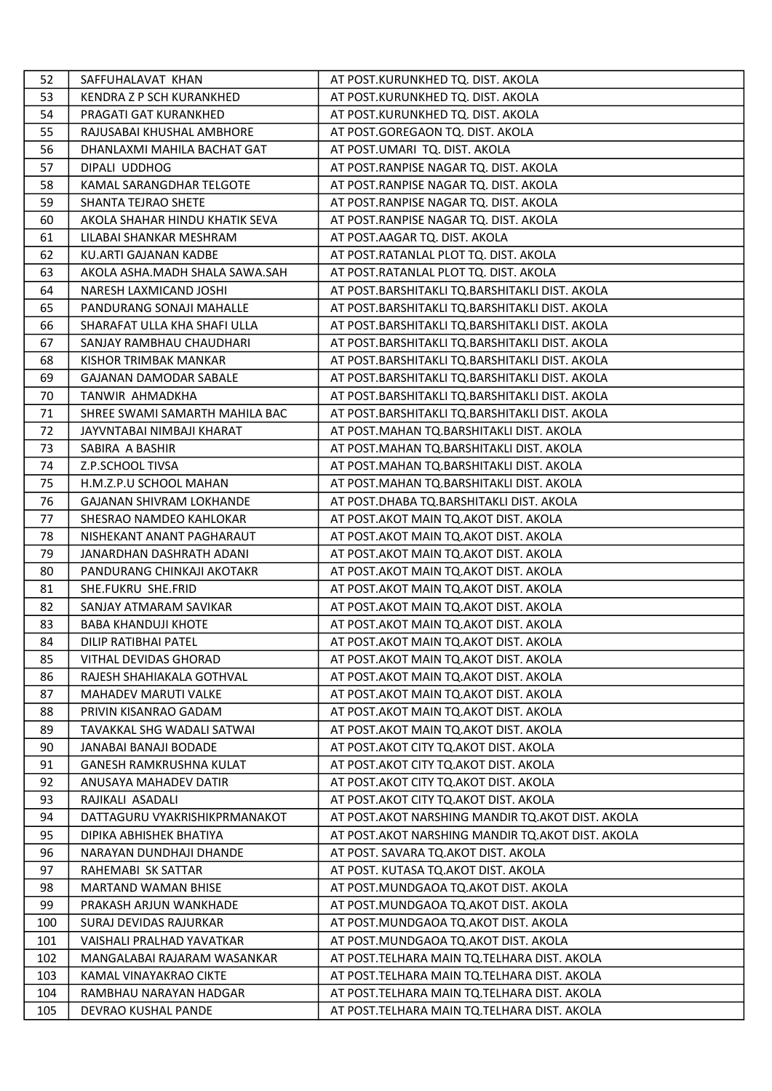| 52  | SAFFUHALAVAT KHAN               | AT POST.KURUNKHED TQ. DIST. AKOLA                  |
|-----|---------------------------------|----------------------------------------------------|
| 53  | KENDRA Z P SCH KURANKHED        | AT POST.KURUNKHED TQ. DIST. AKOLA                  |
| 54  | PRAGATI GAT KURANKHED           | AT POST.KURUNKHED TQ. DIST. AKOLA                  |
| 55  | RAJUSABAI KHUSHAL AMBHORE       | AT POST.GOREGAON TQ. DIST. AKOLA                   |
| 56  | DHANLAXMI MAHILA BACHAT GAT     | AT POST.UMARI TQ. DIST. AKOLA                      |
| 57  | DIPALI UDDHOG                   | AT POST.RANPISE NAGAR TQ. DIST. AKOLA              |
| 58  | KAMAL SARANGDHAR TELGOTE        | AT POST.RANPISE NAGAR TQ. DIST. AKOLA              |
| 59  | SHANTA TEJRAO SHETE             | AT POST.RANPISE NAGAR TQ. DIST. AKOLA              |
| 60  | AKOLA SHAHAR HINDU KHATIK SEVA  | AT POST.RANPISE NAGAR TQ. DIST. AKOLA              |
| 61  | LILABAI SHANKAR MESHRAM         | AT POST.AAGAR TQ. DIST. AKOLA                      |
| 62  | KU.ARTI GAJANAN KADBE           | AT POST.RATANLAL PLOT TQ. DIST. AKOLA              |
| 63  | AKOLA ASHA.MADH SHALA SAWA.SAH  | AT POST.RATANLAL PLOT TQ. DIST. AKOLA              |
| 64  | NARESH LAXMICAND JOSHI          | AT POST.BARSHITAKLI TQ.BARSHITAKLI DIST. AKOLA     |
| 65  | PANDURANG SONAJI MAHALLE        | AT POST.BARSHITAKLI TQ.BARSHITAKLI DIST. AKOLA     |
| 66  | SHARAFAT ULLA KHA SHAFI ULLA    | AT POST.BARSHITAKLI TQ.BARSHITAKLI DIST. AKOLA     |
| 67  | SANJAY RAMBHAU CHAUDHARI        | AT POST.BARSHITAKLI TQ.BARSHITAKLI DIST. AKOLA     |
| 68  | KISHOR TRIMBAK MANKAR           | AT POST.BARSHITAKLI TQ.BARSHITAKLI DIST. AKOLA     |
| 69  | <b>GAJANAN DAMODAR SABALE</b>   | AT POST.BARSHITAKLI TQ.BARSHITAKLI DIST. AKOLA     |
| 70  | TANWIR AHMADKHA                 | AT POST.BARSHITAKLI TQ.BARSHITAKLI DIST. AKOLA     |
| 71  | SHREE SWAMI SAMARTH MAHILA BAC  | AT POST.BARSHITAKLI TQ.BARSHITAKLI DIST. AKOLA     |
| 72  | JAYVNTABAI NIMBAJI KHARAT       | AT POST.MAHAN TQ.BARSHITAKLI DIST. AKOLA           |
| 73  | SABIRA A BASHIR                 | AT POST.MAHAN TQ.BARSHITAKLI DIST. AKOLA           |
| 74  | Z.P.SCHOOL TIVSA                | AT POST.MAHAN TQ.BARSHITAKLI DIST. AKOLA           |
| 75  | H.M.Z.P.U SCHOOL MAHAN          | AT POST.MAHAN TQ.BARSHITAKLI DIST. AKOLA           |
| 76  | <b>GAJANAN SHIVRAM LOKHANDE</b> | AT POST.DHABA TQ.BARSHITAKLI DIST. AKOLA           |
| 77  | SHESRAO NAMDEO KAHLOKAR         | AT POST. AKOT MAIN TQ. AKOT DIST. AKOLA            |
| 78  | NISHEKANT ANANT PAGHARAUT       | AT POST. AKOT MAIN TO. AKOT DIST. AKOLA            |
| 79  | JANARDHAN DASHRATH ADANI        | AT POST. AKOT MAIN TO. AKOT DIST. AKOLA            |
| 80  | PANDURANG CHINKAJI AKOTAKR      | AT POST. AKOT MAIN TQ. AKOT DIST. AKOLA            |
| 81  | SHE.FUKRU SHE.FRID              | AT POST. AKOT MAIN TO. AKOT DIST. AKOLA            |
| 82  | SANJAY ATMARAM SAVIKAR          | AT POST.AKOT MAIN TQ.AKOT DIST. AKOLA              |
| 83  | <b>BABA KHANDUJI KHOTE</b>      | AT POST.AKOT MAIN TQ.AKOT DIST. AKOLA              |
| 84  | <b>DILIP RATIBHAI PATEL</b>     | AT POST. AKOT MAIN TQ. AKOT DIST. AKOLA            |
| 85  | VITHAL DEVIDAS GHORAD           | AT POST. AKOT MAIN TO. AKOT DIST. AKOLA            |
| 86  | RAJESH SHAHIAKALA GOTHVAL       | AT POST. AKOT MAIN TO. AKOT DIST. AKOLA            |
| 87  | <b>MAHADEV MARUTI VALKE</b>     | AT POST.AKOT MAIN TQ.AKOT DIST. AKOLA              |
| 88  | PRIVIN KISANRAO GADAM           | AT POST. AKOT MAIN TO. AKOT DIST. AKOLA            |
| 89  | TAVAKKAL SHG WADALI SATWAI      | AT POST.AKOT MAIN TQ.AKOT DIST. AKOLA              |
| 90  | JANABAI BANAJI BODADE           | AT POST. AKOT CITY TQ. AKOT DIST. AKOLA            |
| 91  | <b>GANESH RAMKRUSHNA KULAT</b>  | AT POST. AKOT CITY TO. AKOT DIST. AKOLA            |
| 92  | ANUSAYA MAHADEV DATIR           | AT POST. AKOT CITY TO. AKOT DIST. AKOLA            |
| 93  | RAJIKALI ASADALI                | AT POST.AKOT CITY TQ.AKOT DIST. AKOLA              |
| 94  | DATTAGURU VYAKRISHIKPRMANAKOT   | AT POST.AKOT NARSHING MANDIR TO.AKOT DIST. AKOLA   |
| 95  | DIPIKA ABHISHEK BHATIYA         | AT POST. AKOT NARSHING MANDIR TO. AKOT DIST. AKOLA |
| 96  | NARAYAN DUNDHAJI DHANDE         | AT POST. SAVARA TQ.AKOT DIST. AKOLA                |
| 97  | RAHEMABI SK SATTAR              | AT POST. KUTASA TQ.AKOT DIST. AKOLA                |
| 98  | <b>MARTAND WAMAN BHISE</b>      | AT POST.MUNDGAOA TQ.AKOT DIST. AKOLA               |
| 99  | PRAKASH ARJUN WANKHADE          | AT POST.MUNDGAOA TQ.AKOT DIST. AKOLA               |
| 100 | SURAJ DEVIDAS RAJURKAR          | AT POST.MUNDGAOA TQ.AKOT DIST. AKOLA               |
| 101 | VAISHALI PRALHAD YAVATKAR       | AT POST.MUNDGAOA TQ.AKOT DIST. AKOLA               |
| 102 | MANGALABAI RAJARAM WASANKAR     | AT POST. TELHARA MAIN TQ. TELHARA DIST. AKOLA      |
| 103 | KAMAL VINAYAKRAO CIKTE          | AT POST. TELHARA MAIN TQ. TELHARA DIST. AKOLA      |
| 104 | RAMBHAU NARAYAN HADGAR          | AT POST. TELHARA MAIN TO. TELHARA DIST. AKOLA      |
| 105 | DEVRAO KUSHAL PANDE             | AT POST. TELHARA MAIN TQ. TELHARA DIST. AKOLA      |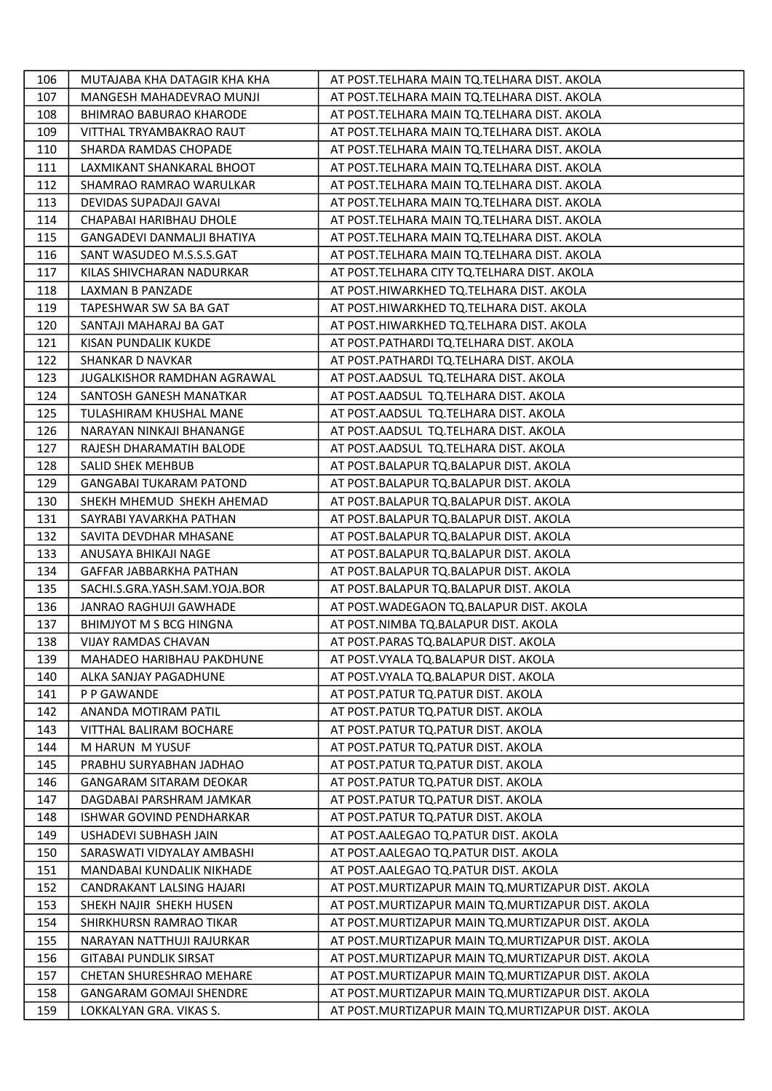| 106 | MUTAJABA KHA DATAGIR KHA KHA      | AT POST. TELHARA MAIN TQ. TELHARA DIST. AKOLA       |
|-----|-----------------------------------|-----------------------------------------------------|
| 107 | <b>MANGESH MAHADEVRAO MUNJI</b>   | AT POST.TELHARA MAIN TQ.TELHARA DIST. AKOLA         |
| 108 | BHIMRAO BABURAO KHARODE           | AT POST. TELHARA MAIN TQ. TELHARA DIST. AKOLA       |
| 109 | VITTHAL TRYAMBAKRAO RAUT          | AT POST. TELHARA MAIN TQ. TELHARA DIST. AKOLA       |
| 110 | SHARDA RAMDAS CHOPADE             | AT POST. TELHARA MAIN TQ. TELHARA DIST. AKOLA       |
| 111 | LAXMIKANT SHANKARAL BHOOT         | AT POST. TELHARA MAIN TQ. TELHARA DIST. AKOLA       |
| 112 | SHAMRAO RAMRAO WARULKAR           | AT POST. TELHARA MAIN TQ. TELHARA DIST. AKOLA       |
| 113 | DEVIDAS SUPADAJI GAVAI            | AT POST. TELHARA MAIN TQ. TELHARA DIST. AKOLA       |
| 114 | CHAPABAI HARIBHAU DHOLE           | AT POST. TELHARA MAIN TQ. TELHARA DIST. AKOLA       |
| 115 | <b>GANGADEVI DANMALJI BHATIYA</b> | AT POST.TELHARA MAIN TQ.TELHARA DIST. AKOLA         |
| 116 | SANT WASUDEO M.S.S.S.GAT          | AT POST.TELHARA MAIN TQ.TELHARA DIST. AKOLA         |
| 117 | KILAS SHIVCHARAN NADURKAR         | AT POST.TELHARA CITY TQ.TELHARA DIST. AKOLA         |
| 118 | LAXMAN B PANZADE                  | AT POST.HIWARKHED TQ.TELHARA DIST. AKOLA            |
| 119 | TAPESHWAR SW SA BA GAT            | AT POST.HIWARKHED TQ.TELHARA DIST. AKOLA            |
| 120 | SANTAJI MAHARAJ BA GAT            | AT POST.HIWARKHED TQ.TELHARA DIST. AKOLA            |
| 121 | KISAN PUNDALIK KUKDE              | AT POST.PATHARDI TQ.TELHARA DIST. AKOLA             |
| 122 | SHANKAR D NAVKAR                  | AT POST.PATHARDI TQ.TELHARA DIST. AKOLA             |
| 123 | JUGALKISHOR RAMDHAN AGRAWAL       | AT POST.AADSUL TQ.TELHARA DIST. AKOLA               |
| 124 | SANTOSH GANESH MANATKAR           | AT POST.AADSUL TQ.TELHARA DIST. AKOLA               |
| 125 | TULASHIRAM KHUSHAL MANE           | AT POST.AADSUL TQ.TELHARA DIST. AKOLA               |
| 126 | NARAYAN NINKAJI BHANANGE          | AT POST.AADSUL TQ.TELHARA DIST. AKOLA               |
| 127 | RAJESH DHARAMATIH BALODE          | AT POST.AADSUL TQ.TELHARA DIST. AKOLA               |
| 128 | SALID SHEK MEHBUB                 | AT POST.BALAPUR TQ.BALAPUR DIST. AKOLA              |
| 129 | <b>GANGABAI TUKARAM PATOND</b>    | AT POST.BALAPUR TQ.BALAPUR DIST. AKOLA              |
| 130 | SHEKH MHEMUD SHEKH AHEMAD         | AT POST.BALAPUR TQ.BALAPUR DIST. AKOLA              |
| 131 | SAYRABI YAVARKHA PATHAN           | AT POST.BALAPUR TQ.BALAPUR DIST. AKOLA              |
| 132 | SAVITA DEVDHAR MHASANE            | AT POST.BALAPUR TQ.BALAPUR DIST. AKOLA              |
| 133 | ANUSAYA BHIKAJI NAGE              | AT POST.BALAPUR TQ.BALAPUR DIST. AKOLA              |
| 134 | GAFFAR JABBARKHA PATHAN           | AT POST.BALAPUR TQ.BALAPUR DIST. AKOLA              |
| 135 | SACHI.S.GRA.YASH.SAM.YOJA.BOR     | AT POST.BALAPUR TQ.BALAPUR DIST. AKOLA              |
| 136 | JANRAO RAGHUJI GAWHADE            | AT POST. WADEGAON TQ. BALAPUR DIST. AKOLA           |
| 137 | BHIMJYOT M S BCG HINGNA           | AT POST.NIMBA TQ.BALAPUR DIST. AKOLA                |
| 138 | VIJAY RAMDAS CHAVAN               | AT POST.PARAS TQ.BALAPUR DIST. AKOLA                |
| 139 | <b>MAHADEO HARIBHAU PAKDHUNE</b>  | AT POST. VYALA TQ. BALAPUR DIST. AKOLA              |
| 140 | ALKA SANJAY PAGADHUNE             | AT POST. VYALA TQ. BALAPUR DIST. AKOLA              |
| 141 | P P GAWANDE                       | AT POST. PATUR TO. PATUR DIST. AKOLA                |
| 142 | ANANDA MOTIRAM PATIL              | AT POST.PATUR TQ.PATUR DIST. AKOLA                  |
| 143 | VITTHAL BALIRAM BOCHARE           | AT POST.PATUR TQ.PATUR DIST. AKOLA                  |
| 144 | M HARUN M YUSUF                   | AT POST. PATUR TQ. PATUR DIST. AKOLA                |
| 145 | PRABHU SURYABHAN JADHAO           | AT POST.PATUR TQ.PATUR DIST. AKOLA                  |
| 146 | <b>GANGARAM SITARAM DEOKAR</b>    | AT POST.PATUR TQ.PATUR DIST. AKOLA                  |
| 147 | DAGDABAI PARSHRAM JAMKAR          | AT POST. PATUR TO. PATUR DIST. AKOLA                |
| 148 | ISHWAR GOVIND PENDHARKAR          | AT POST.PATUR TQ.PATUR DIST. AKOLA                  |
| 149 | USHADEVI SUBHASH JAIN             | AT POST.AALEGAO TQ.PATUR DIST. AKOLA                |
| 150 | SARASWATI VIDYALAY AMBASHI        | AT POST. AALEGAO TO. PATUR DIST. AKOLA              |
| 151 | MANDABAI KUNDALIK NIKHADE         | AT POST.AALEGAO TQ.PATUR DIST. AKOLA                |
| 152 | CANDRAKANT LALSING HAJARI         | AT POST. MURTIZAPUR MAIN TO. MURTIZAPUR DIST. AKOLA |
| 153 | SHEKH NAJIR SHEKH HUSEN           | AT POST. MURTIZAPUR MAIN TQ. MURTIZAPUR DIST. AKOLA |
| 154 | SHIRKHURSN RAMRAO TIKAR           | AT POST. MURTIZAPUR MAIN TO. MURTIZAPUR DIST. AKOLA |
| 155 | NARAYAN NATTHUJI RAJURKAR         | AT POST.MURTIZAPUR MAIN TQ.MURTIZAPUR DIST. AKOLA   |
| 156 | <b>GITABAI PUNDLIK SIRSAT</b>     | AT POST. MURTIZAPUR MAIN TQ. MURTIZAPUR DIST. AKOLA |
| 157 | CHETAN SHURESHRAO MEHARE          | AT POST. MURTIZAPUR MAIN TO. MURTIZAPUR DIST. AKOLA |
| 158 | <b>GANGARAM GOMAJI SHENDRE</b>    | AT POST. MURTIZAPUR MAIN TO. MURTIZAPUR DIST. AKOLA |
| 159 | LOKKALYAN GRA. VIKAS S.           | AT POST. MURTIZAPUR MAIN TQ. MURTIZAPUR DIST. AKOLA |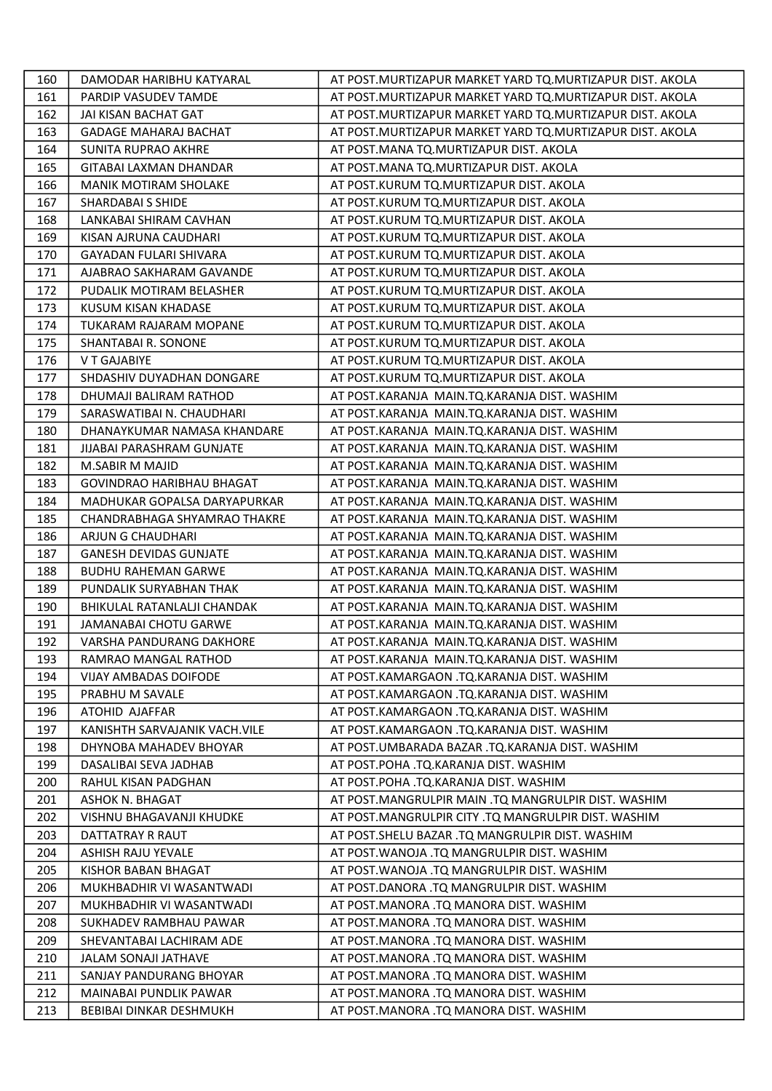| 160 | DAMODAR HARIBHU KATYARAL         | AT POST. MURTIZAPUR MARKET YARD TQ. MURTIZAPUR DIST. AKOLA |
|-----|----------------------------------|------------------------------------------------------------|
| 161 | PARDIP VASUDEV TAMDE             | AT POST. MURTIZAPUR MARKET YARD TO. MURTIZAPUR DIST. AKOLA |
| 162 | JAI KISAN BACHAT GAT             | AT POST. MURTIZAPUR MARKET YARD TQ. MURTIZAPUR DIST. AKOLA |
| 163 | <b>GADAGE MAHARAJ BACHAT</b>     | AT POST.MURTIZAPUR MARKET YARD TQ.MURTIZAPUR DIST. AKOLA   |
| 164 | <b>SUNITA RUPRAO AKHRE</b>       | AT POST.MANA TQ.MURTIZAPUR DIST. AKOLA                     |
| 165 | GITABAI LAXMAN DHANDAR           | AT POST.MANA TQ.MURTIZAPUR DIST. AKOLA                     |
| 166 | <b>MANIK MOTIRAM SHOLAKE</b>     | AT POST.KURUM TQ.MURTIZAPUR DIST. AKOLA                    |
| 167 | SHARDABAI S SHIDE                | AT POST.KURUM TQ.MURTIZAPUR DIST. AKOLA                    |
| 168 | LANKABAI SHIRAM CAVHAN           | AT POST.KURUM TQ.MURTIZAPUR DIST. AKOLA                    |
| 169 | KISAN AJRUNA CAUDHARI            | AT POST.KURUM TQ.MURTIZAPUR DIST. AKOLA                    |
| 170 | GAYADAN FULARI SHIVARA           | AT POST.KURUM TQ.MURTIZAPUR DIST. AKOLA                    |
| 171 | AJABRAO SAKHARAM GAVANDE         | AT POST.KURUM TQ.MURTIZAPUR DIST. AKOLA                    |
| 172 | PUDALIK MOTIRAM BELASHER         | AT POST.KURUM TQ.MURTIZAPUR DIST. AKOLA                    |
| 173 | KUSUM KISAN KHADASE              | AT POST.KURUM TQ.MURTIZAPUR DIST. AKOLA                    |
| 174 | TUKARAM RAJARAM MOPANE           | AT POST.KURUM TQ.MURTIZAPUR DIST. AKOLA                    |
| 175 | SHANTABAI R. SONONE              | AT POST.KURUM TQ.MURTIZAPUR DIST. AKOLA                    |
| 176 | V T GAJABIYE                     | AT POST.KURUM TQ.MURTIZAPUR DIST. AKOLA                    |
| 177 | SHDASHIV DUYADHAN DONGARE        | AT POST.KURUM TQ.MURTIZAPUR DIST. AKOLA                    |
| 178 | DHUMAJI BALIRAM RATHOD           | AT POST.KARANJA MAIN.TQ.KARANJA DIST. WASHIM               |
| 179 | SARASWATIBAI N. CHAUDHARI        | AT POST.KARANJA MAIN.TQ.KARANJA DIST. WASHIM               |
| 180 | DHANAYKUMAR NAMASA KHANDARE      | AT POST.KARANJA MAIN.TQ.KARANJA DIST. WASHIM               |
| 181 | JIJABAI PARASHRAM GUNJATE        | AT POST.KARANJA MAIN.TQ.KARANJA DIST. WASHIM               |
| 182 | M.SABIR M MAJID                  | AT POST.KARANJA MAIN.TQ.KARANJA DIST. WASHIM               |
| 183 | <b>GOVINDRAO HARIBHAU BHAGAT</b> | AT POST.KARANJA MAIN.TQ.KARANJA DIST. WASHIM               |
| 184 | MADHUKAR GOPALSA DARYAPURKAR     | AT POST.KARANJA MAIN.TQ.KARANJA DIST. WASHIM               |
| 185 | CHANDRABHAGA SHYAMRAO THAKRE     | AT POST.KARANJA MAIN.TQ.KARANJA DIST. WASHIM               |
| 186 | ARJUN G CHAUDHARI                | AT POST.KARANJA MAIN.TQ.KARANJA DIST. WASHIM               |
| 187 | <b>GANESH DEVIDAS GUNJATE</b>    | AT POST.KARANJA MAIN.TQ.KARANJA DIST. WASHIM               |
| 188 | <b>BUDHU RAHEMAN GARWE</b>       | AT POST.KARANJA MAIN.TQ.KARANJA DIST. WASHIM               |
| 189 | PUNDALIK SURYABHAN THAK          | AT POST.KARANJA MAIN.TQ.KARANJA DIST. WASHIM               |
| 190 | BHIKULAL RATANLALJI CHANDAK      | AT POST.KARANJA MAIN.TQ.KARANJA DIST. WASHIM               |
| 191 | JAMANABAI CHOTU GARWE            | AT POST.KARANJA MAIN.TQ.KARANJA DIST. WASHIM               |
| 192 | VARSHA PANDURANG DAKHORE         | AT POST.KARANJA MAIN.TQ.KARANJA DIST. WASHIM               |
| 193 | RAMRAO MANGAL RATHOD             | AT POST.KARANJA MAIN.TQ.KARANJA DIST. WASHIM               |
| 194 | <b>VIJAY AMBADAS DOIFODE</b>     | AT POST.KAMARGAON .TQ.KARANJA DIST. WASHIM                 |
| 195 | PRABHU M SAVALE                  | AT POST.KAMARGAON .TO.KARANJA DIST. WASHIM                 |
| 196 | ATOHID AJAFFAR                   | AT POST.KAMARGAON .TQ.KARANJA DIST. WASHIM                 |
| 197 | KANISHTH SARVAJANIK VACH.VILE    | AT POST.KAMARGAON .TQ.KARANJA DIST. WASHIM                 |
| 198 | DHYNOBA MAHADEV BHOYAR           | AT POST.UMBARADA BAZAR .TQ.KARANJA DIST. WASHIM            |
| 199 | DASALIBAI SEVA JADHAB            | AT POST.POHA .TQ.KARANJA DIST. WASHIM                      |
| 200 | RAHUL KISAN PADGHAN              | AT POST. POHA .TO. KARANJA DIST. WASHIM                    |
| 201 | ASHOK N. BHAGAT                  | AT POST.MANGRULPIR MAIN .TQ MANGRULPIR DIST. WASHIM        |
| 202 | VISHNU BHAGAVANJI KHUDKE         | AT POST.MANGRULPIR CITY .TQ MANGRULPIR DIST. WASHIM        |
| 203 | DATTATRAY R RAUT                 | AT POST.SHELU BAZAR .TQ MANGRULPIR DIST. WASHIM            |
| 204 | ASHISH RAJU YEVALE               | AT POST. WANOJA .TQ MANGRULPIR DIST. WASHIM                |
| 205 | KISHOR BABAN BHAGAT              | AT POST.WANOJA .TQ MANGRULPIR DIST. WASHIM                 |
| 206 | MUKHBADHIR VI WASANTWADI         | AT POST.DANORA .TQ MANGRULPIR DIST. WASHIM                 |
| 207 | MUKHBADHIR VI WASANTWADI         | AT POST.MANORA .TQ MANORA DIST. WASHIM                     |
| 208 | SUKHADEV RAMBHAU PAWAR           | AT POST.MANORA .TQ MANORA DIST. WASHIM                     |
| 209 | SHEVANTABAI LACHIRAM ADE         | AT POST.MANORA .TQ MANORA DIST. WASHIM                     |
| 210 | JALAM SONAJI JATHAVE             | AT POST.MANORA .TQ MANORA DIST. WASHIM                     |
| 211 | SANJAY PANDURANG BHOYAR          | AT POST.MANORA .TQ MANORA DIST. WASHIM                     |
| 212 | MAINABAI PUNDLIK PAWAR           | AT POST.MANORA .TQ MANORA DIST. WASHIM                     |
| 213 | BEBIBAI DINKAR DESHMUKH          | AT POST.MANORA .TQ MANORA DIST. WASHIM                     |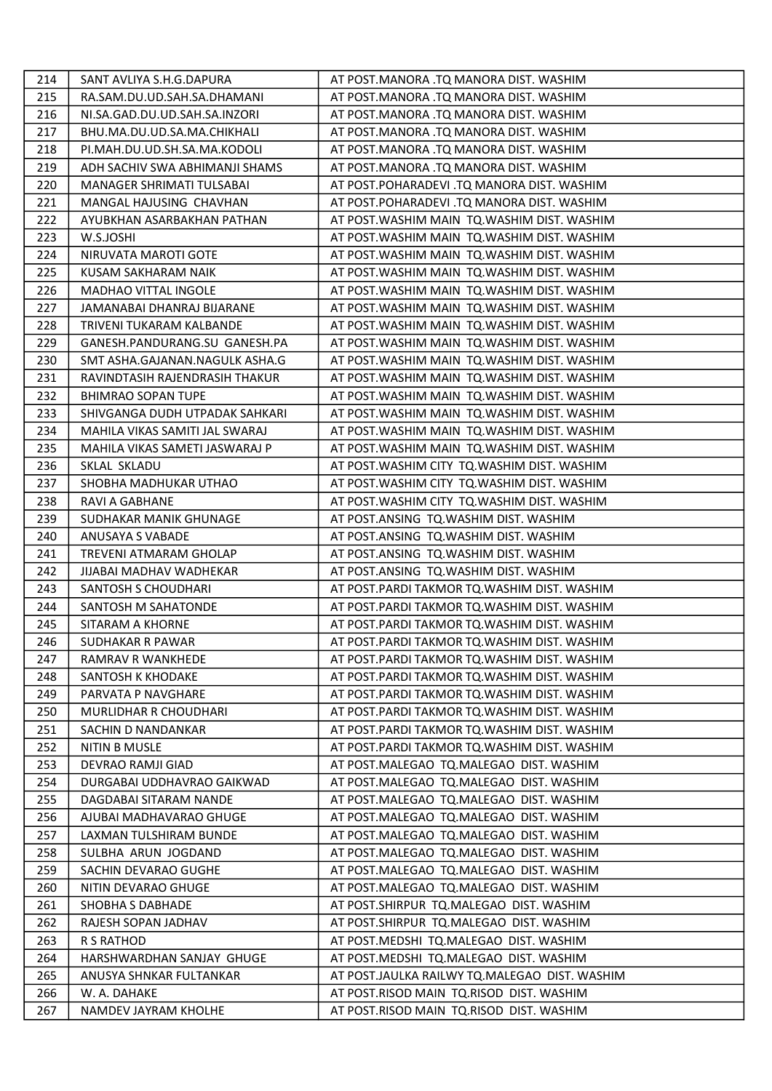| 214 | SANT AVLIYA S.H.G.DAPURA       | AT POST.MANORA .TQ MANORA DIST. WASHIM        |
|-----|--------------------------------|-----------------------------------------------|
| 215 | RA.SAM.DU.UD.SAH.SA.DHAMANI    | AT POST.MANORA .TQ MANORA DIST. WASHIM        |
| 216 | NI.SA.GAD.DU.UD.SAH.SA.INZORI  | AT POST.MANORA .TQ MANORA DIST. WASHIM        |
| 217 | BHU.MA.DU.UD.SA.MA.CHIKHALI    | AT POST.MANORA .TQ MANORA DIST. WASHIM        |
| 218 | PI.MAH.DU.UD.SH.SA.MA.KODOLI   | AT POST.MANORA .TQ MANORA DIST. WASHIM        |
| 219 | ADH SACHIV SWA ABHIMANJI SHAMS | AT POST.MANORA .TQ MANORA DIST. WASHIM        |
| 220 | MANAGER SHRIMATI TULSABAI      | AT POST.POHARADEVI .TQ MANORA DIST. WASHIM    |
| 221 | MANGAL HAJUSING CHAVHAN        | AT POST.POHARADEVI .TQ MANORA DIST. WASHIM    |
| 222 | AYUBKHAN ASARBAKHAN PATHAN     | AT POST. WASHIM MAIN TQ. WASHIM DIST. WASHIM  |
| 223 | W.S.JOSHI                      | AT POST. WASHIM MAIN TQ. WASHIM DIST. WASHIM  |
| 224 | NIRUVATA MAROTI GOTE           | AT POST. WASHIM MAIN TQ. WASHIM DIST. WASHIM  |
| 225 | KUSAM SAKHARAM NAIK            | AT POST. WASHIM MAIN TQ. WASHIM DIST. WASHIM  |
| 226 | <b>MADHAO VITTAL INGOLE</b>    | AT POST. WASHIM MAIN TQ. WASHIM DIST. WASHIM  |
| 227 | JAMANABAI DHANRAJ BIJARANE     | AT POST. WASHIM MAIN TQ. WASHIM DIST. WASHIM  |
| 228 | TRIVENI TUKARAM KALBANDE       | AT POST. WASHIM MAIN TO. WASHIM DIST. WASHIM  |
| 229 | GANESH.PANDURANG.SU GANESH.PA  | AT POST. WASHIM MAIN TQ. WASHIM DIST. WASHIM  |
| 230 | SMT ASHA.GAJANAN.NAGULK ASHA.G | AT POST. WASHIM MAIN TQ. WASHIM DIST. WASHIM  |
| 231 | RAVINDTASIH RAJENDRASIH THAKUR | AT POST. WASHIM MAIN TQ. WASHIM DIST. WASHIM  |
| 232 | <b>BHIMRAO SOPAN TUPE</b>      | AT POST. WASHIM MAIN TO. WASHIM DIST. WASHIM  |
| 233 | SHIVGANGA DUDH UTPADAK SAHKARI | AT POST. WASHIM MAIN TQ. WASHIM DIST. WASHIM  |
| 234 | MAHILA VIKAS SAMITI JAL SWARAJ | AT POST. WASHIM MAIN TO. WASHIM DIST. WASHIM  |
| 235 | MAHILA VIKAS SAMETI JASWARAJ P | AT POST. WASHIM MAIN TO. WASHIM DIST. WASHIM  |
| 236 | SKLAL SKLADU                   | AT POST. WASHIM CITY TQ. WASHIM DIST. WASHIM  |
| 237 | SHOBHA MADHUKAR UTHAO          | AT POST. WASHIM CITY TQ. WASHIM DIST. WASHIM  |
| 238 | RAVI A GABHANE                 | AT POST. WASHIM CITY TQ. WASHIM DIST. WASHIM  |
| 239 | SUDHAKAR MANIK GHUNAGE         | AT POST.ANSING TQ.WASHIM DIST. WASHIM         |
| 240 | ANUSAYA S VABADE               | AT POST.ANSING TQ.WASHIM DIST. WASHIM         |
| 241 | TREVENI ATMARAM GHOLAP         | AT POST.ANSING TQ.WASHIM DIST. WASHIM         |
| 242 | JIJABAI MADHAV WADHEKAR        | AT POST.ANSING TQ.WASHIM DIST. WASHIM         |
| 243 | SANTOSH S CHOUDHARI            | AT POST. PARDI TAKMOR TQ. WASHIM DIST. WASHIM |
| 244 | SANTOSH M SAHATONDE            | AT POST. PARDI TAKMOR TQ. WASHIM DIST. WASHIM |
| 245 | SITARAM A KHORNE               | AT POST. PARDI TAKMOR TQ. WASHIM DIST. WASHIM |
| 246 | SUDHAKAR R PAWAR               | AT POST.PARDI TAKMOR TQ.WASHIM DIST. WASHIM   |
| 247 | RAMRAV R WANKHEDE              | AT POST. PARDI TAKMOR TQ. WASHIM DIST. WASHIM |
| 248 | SANTOSH K KHODAKE              | AT POST.PARDI TAKMOR TQ.WASHIM DIST. WASHIM   |
| 249 | PARVATA P NAVGHARE             | AT POST. PARDI TAKMOR TO. WASHIM DIST. WASHIM |
| 250 | MURLIDHAR R CHOUDHARI          | AT POST. PARDI TAKMOR TQ. WASHIM DIST. WASHIM |
| 251 | SACHIN D NANDANKAR             | AT POST.PARDI TAKMOR TQ.WASHIM DIST. WASHIM   |
| 252 | NITIN B MUSLE                  | AT POST. PARDI TAKMOR TQ. WASHIM DIST. WASHIM |
| 253 | DEVRAO RAMJI GIAD              | AT POST.MALEGAO TQ.MALEGAO DIST. WASHIM       |
| 254 | DURGABAI UDDHAVRAO GAIKWAD     | AT POST.MALEGAO TQ.MALEGAO DIST. WASHIM       |
| 255 | DAGDABAI SITARAM NANDE         | AT POST.MALEGAO TQ.MALEGAO DIST. WASHIM       |
| 256 | AJUBAI MADHAVARAO GHUGE        | AT POST.MALEGAO TQ.MALEGAO DIST. WASHIM       |
| 257 | LAXMAN TULSHIRAM BUNDE         | AT POST.MALEGAO TQ.MALEGAO DIST. WASHIM       |
| 258 | SULBHA ARUN JOGDAND            | AT POST.MALEGAO TQ.MALEGAO DIST. WASHIM       |
| 259 | SACHIN DEVARAO GUGHE           | AT POST.MALEGAO TQ.MALEGAO DIST. WASHIM       |
| 260 | NITIN DEVARAO GHUGE            | AT POST.MALEGAO TQ.MALEGAO DIST. WASHIM       |
| 261 | SHOBHA S DABHADE               | AT POST.SHIRPUR TQ.MALEGAO DIST. WASHIM       |
| 262 | RAJESH SOPAN JADHAV            | AT POST. SHIRPUR TQ. MALEGAO DIST. WASHIM     |
| 263 | R S RATHOD                     | AT POST.MEDSHI TQ.MALEGAO DIST. WASHIM        |
| 264 | HARSHWARDHAN SANJAY GHUGE      | AT POST.MEDSHI TQ.MALEGAO DIST. WASHIM        |
| 265 | ANUSYA SHNKAR FULTANKAR        | AT POST.JAULKA RAILWY TQ.MALEGAO DIST. WASHIM |
| 266 | W. A. DAHAKE                   | AT POST.RISOD MAIN TO.RISOD DIST. WASHIM      |
| 267 | NAMDEV JAYRAM KHOLHE           | AT POST.RISOD MAIN TQ.RISOD DIST. WASHIM      |